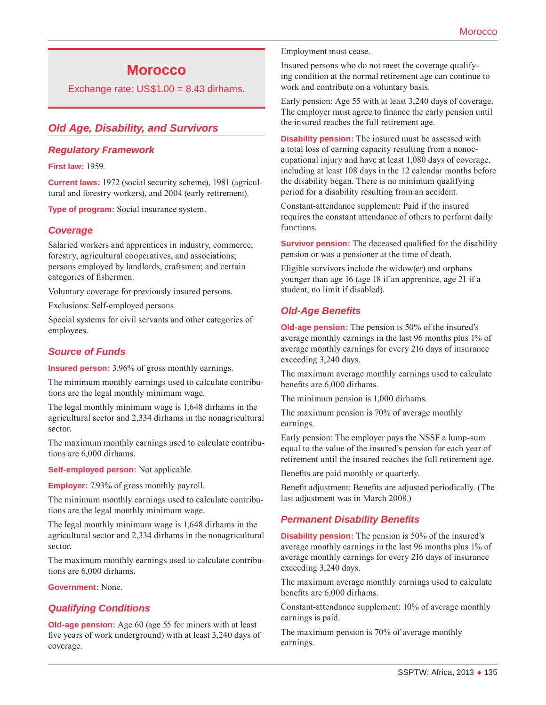# **Morocco**

Exchange rate:  $US$1.00 = 8.43$  dirhams.

# *Old Age, Disability, and Survivors*

#### *Regulatory Framework*

**First law:** 1959.

**Current laws:** 1972 (social security scheme), 1981 (agricultural and forestry workers), and 2004 (early retirement).

**Type of program:** Social insurance system.

## *Coverage*

Salaried workers and apprentices in industry, commerce, forestry, agricultural cooperatives, and associations; persons employed by landlords, craftsmen; and certain categories of fishermen.

Voluntary coverage for previously insured persons.

Exclusions: Self-employed persons.

Special systems for civil servants and other categories of employees.

#### *Source of Funds*

**Insured person:** 3.96% of gross monthly earnings.

The minimum monthly earnings used to calculate contributions are the legal monthly minimum wage.

The legal monthly minimum wage is 1,648 dirhams in the agricultural sector and 2,334 dirhams in the nonagricultural sector.

The maximum monthly earnings used to calculate contributions are 6,000 dirhams.

**Self-employed person:** Not applicable.

**Employer:** 7.93% of gross monthly payroll.

The minimum monthly earnings used to calculate contributions are the legal monthly minimum wage.

The legal monthly minimum wage is 1,648 dirhams in the agricultural sector and 2,334 dirhams in the nonagricultural sector.

The maximum monthly earnings used to calculate contributions are 6,000 dirhams.

**Government:** None.

## *Qualifying Conditions*

**Old-age pension:** Age 60 (age 55 for miners with at least five years of work underground) with at least 3,240 days of coverage.

Employment must cease.

Insured persons who do not meet the coverage qualifying condition at the normal retirement age can continue to work and contribute on a voluntary basis.

Early pension: Age 55 with at least 3,240 days of coverage. The employer must agree to finance the early pension until the insured reaches the full retirement age.

**Disability pension:** The insured must be assessed with a total loss of earning capacity resulting from a nonoccupational injury and have at least 1,080 days of coverage, including at least 108 days in the 12 calendar months before the disability began. There is no minimum qualifying period for a disability resulting from an accident.

Constant-attendance supplement: Paid if the insured requires the constant attendance of others to perform daily functions.

**Survivor pension:** The deceased qualified for the disability pension or was a pensioner at the time of death.

Eligible survivors include the widow(er) and orphans younger than age 16 (age 18 if an apprentice, age 21 if a student, no limit if disabled).

# *Old-Age Benefits*

**Old-age pension:** The pension is 50% of the insured's average monthly earnings in the last 96 months plus 1% of average monthly earnings for every 216 days of insurance exceeding 3,240 days.

The maximum average monthly earnings used to calculate benefits are 6,000 dirhams.

The minimum pension is 1,000 dirhams.

The maximum pension is 70% of average monthly earnings.

Early pension: The employer pays the NSSF a lump-sum equal to the value of the insured's pension for each year of retirement until the insured reaches the full retirement age.

Benefits are paid monthly or quarterly.

Benefit adjustment: Benefits are adjusted periodically. (The last adjustment was in March 2008.)

## *Permanent Disability Benefits*

**Disability pension:** The pension is 50% of the insured's average monthly earnings in the last 96 months plus 1% of average monthly earnings for every 216 days of insurance exceeding 3,240 days.

The maximum average monthly earnings used to calculate benefits are 6,000 dirhams.

Constant-attendance supplement: 10% of average monthly earnings is paid.

The maximum pension is 70% of average monthly earnings.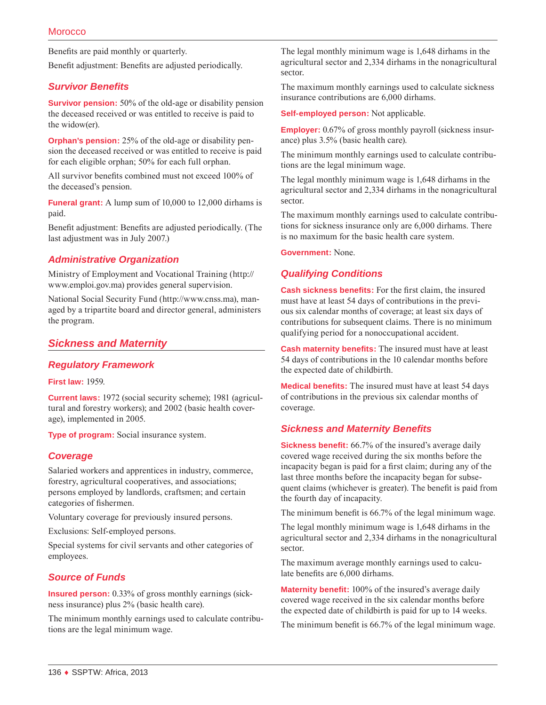Benefits are paid monthly or quarterly.

Benefit adjustment: Benefits are adjusted periodically.

#### *Survivor Benefits*

**Survivor pension:** 50% of the old-age or disability pension the deceased received or was entitled to receive is paid to the widow(er).

**Orphan's pension:** 25% of the old-age or disability pension the deceased received or was entitled to receive is paid for each eligible orphan; 50% for each full orphan.

All survivor benefits combined must not exceed 100% of the deceased's pension.

**Funeral grant:** A lump sum of 10,000 to 12,000 dirhams is paid.

Benefit adjustment: Benefits are adjusted periodically. (The last adjustment was in July 2007.)

## *Administrative Organization*

Ministry of Employment and Vocational Training ([http://](http://www.emploi.gov.ma) [www.emploi.gov.ma](http://www.emploi.gov.ma)) provides general supervision.

National Social Security Fund [\(http://www.cnss.ma\)](http://www.cnss.ma), managed by a tripartite board and director general, administers the program.

#### *Sickness and Maternity*

#### *Regulatory Framework*

**First law:** 1959.

**Current laws:** 1972 (social security scheme); 1981 (agricultural and forestry workers); and 2002 (basic health coverage), implemented in 2005.

**Type of program:** Social insurance system.

#### *Coverage*

Salaried workers and apprentices in industry, commerce, forestry, agricultural cooperatives, and associations; persons employed by landlords, craftsmen; and certain categories of fishermen.

Voluntary coverage for previously insured persons.

Exclusions: Self-employed persons.

Special systems for civil servants and other categories of employees.

## *Source of Funds*

**Insured person:** 0.33% of gross monthly earnings (sickness insurance) plus 2% (basic health care).

The minimum monthly earnings used to calculate contributions are the legal minimum wage.

The legal monthly minimum wage is 1,648 dirhams in the agricultural sector and 2,334 dirhams in the nonagricultural sector.

The maximum monthly earnings used to calculate sickness insurance contributions are 6,000 dirhams.

**Self-employed person:** Not applicable.

**Employer:** 0.67% of gross monthly payroll (sickness insurance) plus 3.5% (basic health care).

The minimum monthly earnings used to calculate contributions are the legal minimum wage.

The legal monthly minimum wage is 1,648 dirhams in the agricultural sector and 2,334 dirhams in the nonagricultural sector.

The maximum monthly earnings used to calculate contributions for sickness insurance only are 6,000 dirhams. There is no maximum for the basic health care system.

**Government:** None.

#### *Qualifying Conditions*

**Cash sickness benefits:** For the first claim, the insured must have at least 54 days of contributions in the previous six calendar months of coverage; at least six days of contributions for subsequent claims. There is no minimum qualifying period for a nonoccupational accident.

**Cash maternity benefits:** The insured must have at least 54 days of contributions in the 10 calendar months before the expected date of childbirth.

**Medical benefits:** The insured must have at least 54 days of contributions in the previous six calendar months of coverage.

#### *Sickness and Maternity Benefits*

**Sickness benefit:** 66.7% of the insured's average daily covered wage received during the six months before the incapacity began is paid for a first claim; during any of the last three months before the incapacity began for subsequent claims (whichever is greater). The benefit is paid from the fourth day of incapacity.

The minimum benefit is 66.7% of the legal minimum wage.

The legal monthly minimum wage is 1,648 dirhams in the agricultural sector and 2,334 dirhams in the nonagricultural sector.

The maximum average monthly earnings used to calculate benefits are 6,000 dirhams.

**Maternity benefit:** 100% of the insured's average daily covered wage received in the six calendar months before the expected date of childbirth is paid for up to 14 weeks.

The minimum benefit is 66.7% of the legal minimum wage.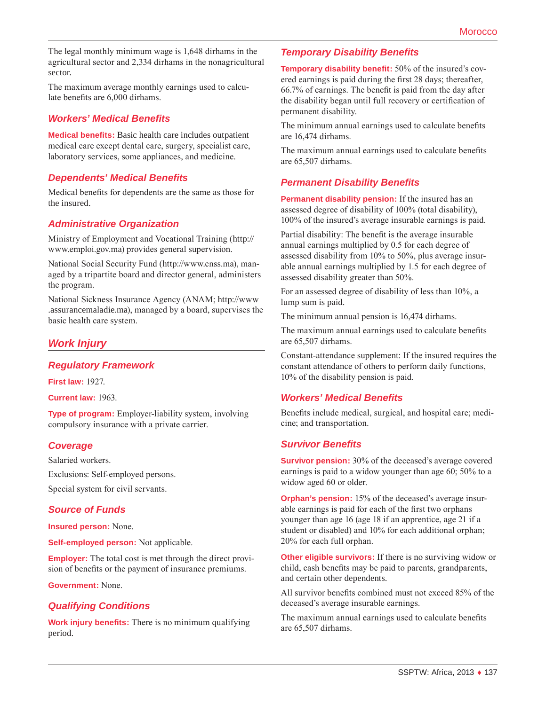The legal monthly minimum wage is 1,648 dirhams in the agricultural sector and 2,334 dirhams in the nonagricultural sector.

The maximum average monthly earnings used to calculate benefits are 6,000 dirhams.

## *Workers' Medical Benefits*

**Medical benefits:** Basic health care includes outpatient medical care except dental care, surgery, specialist care, laboratory services, some appliances, and medicine.

#### *Dependents' Medical Benefits*

Medical benefits for dependents are the same as those for the insured.

#### *Administrative Organization*

Ministry of Employment and Vocational Training ([http://](http://www.emploi.gov.ma) [www.emploi.gov.ma](http://www.emploi.gov.ma)) provides general supervision.

National Social Security Fund (http://www.cnss.ma), managed by a tripartite board and director general, administers the program.

National Sickness Insurance Agency (ANAM; [http://www](http://www.assurancemaladie.ma) [.assurancemaladie.ma](http://www.assurancemaladie.ma)), managed by a board, supervises the basic health care system.

## *Work Injury*

#### *Regulatory Framework*

**First law:** 1927.

**Current law:** 1963.

**Type of program:** Employer-liability system, involving compulsory insurance with a private carrier.

## *Coverage*

Salaried workers. Exclusions: Self-employed persons. Special system for civil servants.

## *Source of Funds*

**Insured person:** None.

**Self-employed person:** Not applicable.

**Employer:** The total cost is met through the direct provision of benefits or the payment of insurance premiums.

**Government:** None.

#### *Qualifying Conditions*

**Work injury benefits:** There is no minimum qualifying period.

#### *Temporary Disability Benefits*

**Temporary disability benefit:** 50% of the insured's covered earnings is paid during the first 28 days; thereafter, 66.7% of earnings. The benefit is paid from the day after the disability began until full recovery or certification of permanent disability.

The minimum annual earnings used to calculate benefits are 16,474 dirhams.

The maximum annual earnings used to calculate benefits are 65,507 dirhams.

## *Permanent Disability Benefits*

**Permanent disability pension:** If the insured has an assessed degree of disability of 100% (total disability), 100% of the insured's average insurable earnings is paid.

Partial disability: The benefit is the average insurable annual earnings multiplied by 0.5 for each degree of assessed disability from 10% to 50%, plus average insurable annual earnings multiplied by 1.5 for each degree of assessed disability greater than 50%.

For an assessed degree of disability of less than 10%, a lump sum is paid.

The minimum annual pension is 16,474 dirhams.

The maximum annual earnings used to calculate benefits are 65,507 dirhams.

Constant-attendance supplement: If the insured requires the constant attendance of others to perform daily functions, 10% of the disability pension is paid.

#### *Workers' Medical Benefits*

Benefits include medical, surgical, and hospital care; medicine; and transportation.

#### *Survivor Benefits*

**Survivor pension:** 30% of the deceased's average covered earnings is paid to a widow younger than age 60; 50% to a widow aged 60 or older.

**Orphan's pension:** 15% of the deceased's average insurable earnings is paid for each of the first two orphans younger than age 16 (age 18 if an apprentice, age 21 if a student or disabled) and 10% for each additional orphan; 20% for each full orphan.

**Other eligible survivors:** If there is no surviving widow or child, cash benefits may be paid to parents, grandparents, and certain other dependents.

All survivor benefits combined must not exceed 85% of the deceased's average insurable earnings.

The maximum annual earnings used to calculate benefits are 65,507 dirhams.